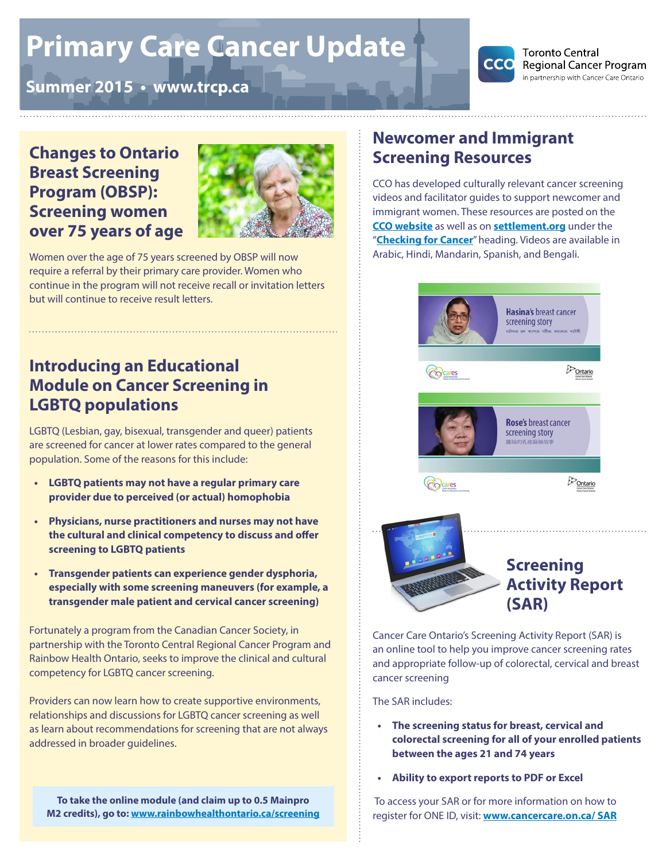# **Primary Care Cancer Update**





**Toronto Central Regional Cancer Program** in partnership with Cancer Care Ontario

### **Changes to Ontario Breast Screening Program (OBSP): Screening women over 75 years of age**



Women over the age of 75 years screened by OBSP will now require a referral by their primary care provider. Women who continue in the program will not receive recall or invitation letters but will continue to receive result letters.

# **Introducing an Educational Module on Cancer Screening in LGBTQ populations**

LGBTQ (Lesbian, gay, bisexual, transgender and queer) patients are screened for cancer at lower rates compared to the general population. Some of the reasons for this include:

- **• LGBTQ patients may not have a regular primary care provider due to perceived (or actual) homophobia**
- **• Physicians, nurse practitioners and nurses may not have the cultural and clinical competency to discuss and offer screening to LGBTQ patients**
- **• Transgender patients can experience gender dysphoria, especially with some screening maneuvers (for example, a transgender male patient and cervical cancer screening)**

Fortunately a program from the Canadian Cancer Society, in partnership with the Toronto Central Regional Cancer Program and Rainbow Health Ontario, seeks to improve the clinical and cultural competency for LGBTQ cancer screening.

Providers can now learn how to create supportive environments, relationships and discussions for LGBTQ cancer screening as well as learn about recommendations for screening that are not always addressed in broader guidelines.

**To take the online module (and claim up to 0.5 Mainpro M2 credits), go to: [www.rainbowhealthontario.ca/screening](http://www.rainbowhealthontario.ca/screening)**

# **Newcomer and Immigrant Screening Resources**

CCO has developed culturally relevant cancer screening videos and facilitator guides to support newcomer and immigrant women. These resources are posted on the **[CCO website](https://www.cancercare.on.ca/toolbox/screening_newcomers)** as well as on **<settlement.org>** under the "**[Checking for Cancer](http://settlement.org/ontario/health/nutrition-and-healthy-living/checking-for-and-preventing-cancer/)**" heading. Videos are available in Arabic, Hindi, Mandarin, Spanish, and Bengali.



Cancer Care Ontario's Screening Activity Report (SAR) is an online tool to help you improve cancer screening rates and appropriate follow-up of colorectal, cervical and breast cancer screening

The SAR includes:

- **• The screening status for breast, cervical and colorectal screening for all of your enrolled patients between the ages 21 and 74 years**
- **• Ability to export reports to PDF or Excel**

 To access your SAR or for more information on how to register for ONE ID, visit: **<www.cancercare.on.ca>/ SAR**